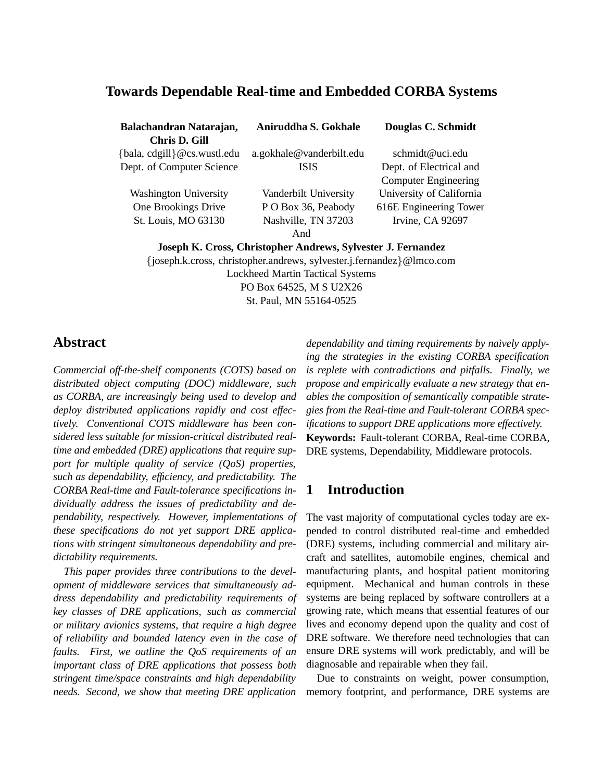## **Towards Dependable Real-time and Embedded CORBA Systems**

| Balachandran Natarajan,                                      | Aniruddha S. Gokhale     | Douglas C. Schmidt          |
|--------------------------------------------------------------|--------------------------|-----------------------------|
| Chris D. Gill                                                |                          |                             |
| {bala, cdgill} @cs.wustl.edu                                 | a.gokhale@vanderbilt.edu | schmidt@uci.edu             |
| Dept. of Computer Science                                    | <b>ISIS</b>              | Dept. of Electrical and     |
|                                                              |                          | <b>Computer Engineering</b> |
| <b>Washington University</b>                                 | Vanderbilt University    | University of California    |
| One Brookings Drive                                          | P O Box 36, Peabody      | 616E Engineering Tower      |
| St. Louis, MO 63130                                          | Nashville, TN 37203      | Irvine, CA 92697            |
|                                                              | And                      |                             |
| Joseph K. Cross, Christopher Andrews, Sylvester J. Fernandez |                          |                             |

{joseph.k.cross, christopher.andrews, sylvester.j.fernandez}@lmco.com Lockheed Martin Tactical Systems PO Box 64525, M S U2X26 St. Paul, MN 55164-0525

## **Abstract**

*Commercial off-the-shelf components (COTS) based on distributed object computing (DOC) middleware, such as CORBA, are increasingly being used to develop and deploy distributed applications rapidly and cost effectively. Conventional COTS middleware has been considered less suitable for mission-critical distributed realtime and embedded (DRE) applications that require support for multiple quality of service (QoS) properties, such as dependability, efficiency, and predictability. The CORBA Real-time and Fault-tolerance specifications individually address the issues of predictability and dependability, respectively. However, implementations of these specifications do not yet support DRE applications with stringent simultaneous dependability and predictability requirements.*

*This paper provides three contributions to the development of middleware services that simultaneously address dependability and predictability requirements of key classes of DRE applications, such as commercial or military avionics systems, that require a high degree of reliability and bounded latency even in the case of faults. First, we outline the QoS requirements of an important class of DRE applications that possess both stringent time/space constraints and high dependability needs. Second, we show that meeting DRE application*

*dependability and timing requirements by naively applying the strategies in the existing CORBA specification is replete with contradictions and pitfalls. Finally, we propose and empirically evaluate a new strategy that enables the composition of semantically compatible strategies from the Real-time and Fault-tolerant CORBA specifications to support DRE applications more effectively.* **Keywords:** Fault-tolerant CORBA, Real-time CORBA, DRE systems, Dependability, Middleware protocols.

## **1 Introduction**

The vast majority of computational cycles today are expended to control distributed real-time and embedded (DRE) systems, including commercial and military aircraft and satellites, automobile engines, chemical and manufacturing plants, and hospital patient monitoring equipment. Mechanical and human controls in these systems are being replaced by software controllers at a growing rate, which means that essential features of our lives and economy depend upon the quality and cost of DRE software. We therefore need technologies that can ensure DRE systems will work predictably, and will be diagnosable and repairable when they fail.

Due to constraints on weight, power consumption, memory footprint, and performance, DRE systems are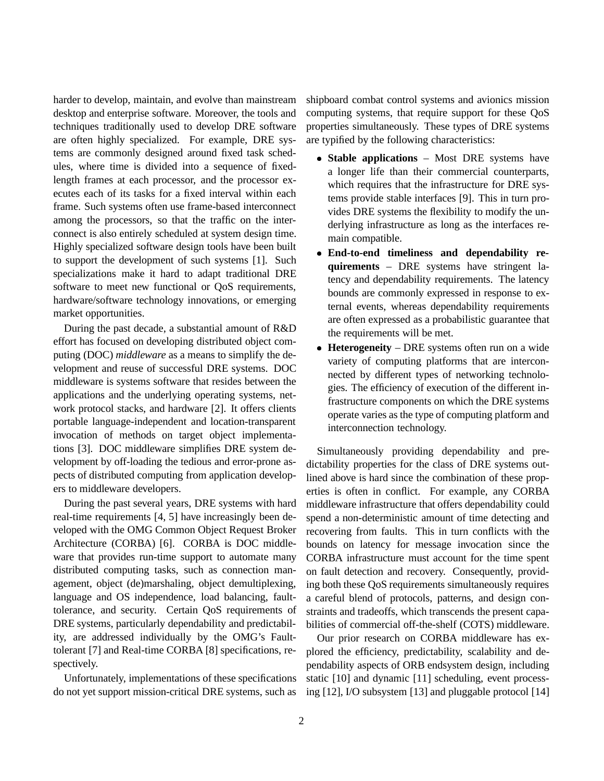harder to develop, maintain, and evolve than mainstream desktop and enterprise software. Moreover, the tools and techniques traditionally used to develop DRE software are often highly specialized. For example, DRE systems are commonly designed around fixed task schedules, where time is divided into a sequence of fixedlength frames at each processor, and the processor executes each of its tasks for a fixed interval within each frame. Such systems often use frame-based interconnect among the processors, so that the traffic on the interconnect is also entirely scheduled at system design time. Highly specialized software design tools have been built to support the development of such systems [1]. Such specializations make it hard to adapt traditional DRE software to meet new functional or QoS requirements, hardware/software technology innovations, or emerging market opportunities.

During the past decade, a substantial amount of R&D effort has focused on developing distributed object computing (DOC) *middleware* as a means to simplify the development and reuse of successful DRE systems. DOC middleware is systems software that resides between the applications and the underlying operating systems, network protocol stacks, and hardware [2]. It offers clients portable language-independent and location-transparent invocation of methods on target object implementations [3]. DOC middleware simplifies DRE system development by off-loading the tedious and error-prone aspects of distributed computing from application developers to middleware developers.

During the past several years, DRE systems with hard real-time requirements [4, 5] have increasingly been developed with the OMG Common Object Request Broker Architecture (CORBA) [6]. CORBA is DOC middleware that provides run-time support to automate many distributed computing tasks, such as connection management, object (de)marshaling, object demultiplexing, language and OS independence, load balancing, faulttolerance, and security. Certain QoS requirements of DRE systems, particularly dependability and predictability, are addressed individually by the OMG's Faulttolerant [7] and Real-time CORBA [8] specifications, respectively.

Unfortunately, implementations of these specifications do not yet support mission-critical DRE systems, such as

shipboard combat control systems and avionics mission computing systems, that require support for these QoS properties simultaneously. These types of DRE systems are typified by the following characteristics:

- **Stable applications** Most DRE systems have a longer life than their commercial counterparts, which requires that the infrastructure for DRE systems provide stable interfaces [9]. This in turn provides DRE systems the flexibility to modify the underlying infrastructure as long as the interfaces remain compatible.
- **End-to-end timeliness and dependability requirements** – DRE systems have stringent latency and dependability requirements. The latency bounds are commonly expressed in response to external events, whereas dependability requirements are often expressed as a probabilistic guarantee that the requirements will be met.
- **Heterogeneity** DRE systems often run on a wide variety of computing platforms that are interconnected by different types of networking technologies. The efficiency of execution of the different infrastructure components on which the DRE systems operate varies as the type of computing platform and interconnection technology.

Simultaneously providing dependability and predictability properties for the class of DRE systems outlined above is hard since the combination of these properties is often in conflict. For example, any CORBA middleware infrastructure that offers dependability could spend a non-deterministic amount of time detecting and recovering from faults. This in turn conflicts with the bounds on latency for message invocation since the CORBA infrastructure must account for the time spent on fault detection and recovery. Consequently, providing both these QoS requirements simultaneously requires a careful blend of protocols, patterns, and design constraints and tradeoffs, which transcends the present capabilities of commercial off-the-shelf (COTS) middleware.

Our prior research on CORBA middleware has explored the efficiency, predictability, scalability and dependability aspects of ORB endsystem design, including static [10] and dynamic [11] scheduling, event processing [12], I/O subsystem [13] and pluggable protocol [14]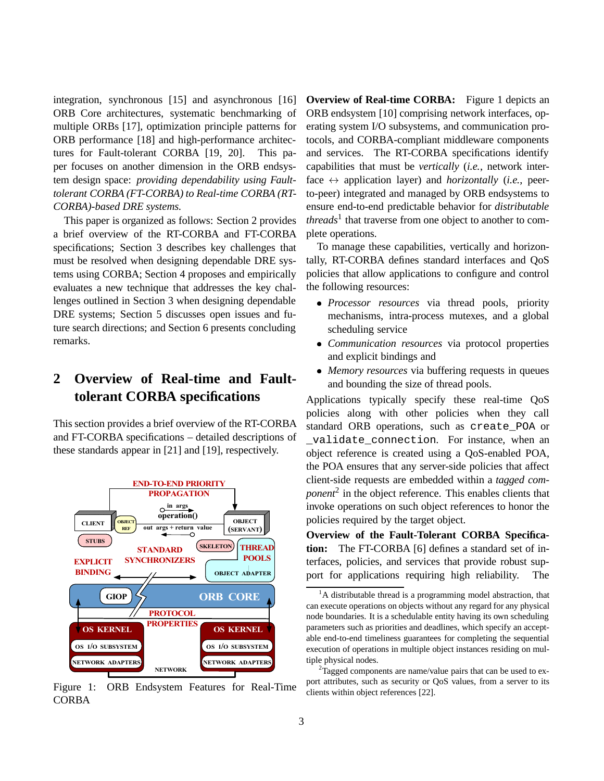integration, synchronous [15] and asynchronous [16] ORB Core architectures, systematic benchmarking of multiple ORBs [17], optimization principle patterns for ORB performance [18] and high-performance architectures for Fault-tolerant CORBA [19, 20]. This paper focuses on another dimension in the ORB endsystem design space: *providing dependability using Faulttolerant CORBA (FT-CORBA) to Real-time CORBA (RT-CORBA)-based DRE systems.*

This paper is organized as follows: Section 2 provides a brief overview of the RT-CORBA and FT-CORBA specifications; Section 3 describes key challenges that must be resolved when designing dependable DRE systems using CORBA; Section 4 proposes and empirically evaluates a new technique that addresses the key challenges outlined in Section 3 when designing dependable DRE systems; Section 5 discusses open issues and future search directions; and Section 6 presents concluding remarks.

# **2 Overview of Real-time and Faulttolerant CORBA specifications**

This section provides a brief overview of the RT-CORBA and FT-CORBA specifications – detailed descriptions of these standards appear in [21] and [19], respectively.



Figure 1: ORB Endsystem Features for Real-Time CORBA

**Overview of Real-time CORBA:** Figure 1 depicts an ORB endsystem [10] comprising network interfaces, operating system I/O subsystems, and communication protocols, and CORBA-compliant middleware components and services. The RT-CORBA specifications identify capabilities that must be *vertically* (*i.e.*, network interface  $\leftrightarrow$  application layer) and *horizontally* (*i.e.*, peerto-peer) integrated and managed by ORB endsystems to ensure end-to-end predictable behavior for *distributable threads*<sup>1</sup> that traverse from one object to another to complete operations.

To manage these capabilities, vertically and horizontally, RT-CORBA defines standard interfaces and QoS policies that allow applications to configure and control the following resources:

- *Processor resources* via thread pools, priority mechanisms, intra-process mutexes, and a global scheduling service
- *Communication resources* via protocol properties and explicit bindings and
- *Memory resources* via buffering requests in queues and bounding the size of thread pools.

Applications typically specify these real-time QoS policies along with other policies when they call standard ORB operations, such as create\_POA or \_validate\_connection. For instance, when an object reference is created using a QoS-enabled POA, the POA ensures that any server-side policies that affect client-side requests are embedded within a *tagged component*<sup>2</sup> in the object reference. This enables clients that invoke operations on such object references to honor the policies required by the target object.

**Overview of the Fault-Tolerant CORBA Specification:** The FT-CORBA [6] defines a standard set of interfaces, policies, and services that provide robust support for applications requiring high reliability. The

<sup>&</sup>lt;sup>1</sup>A distributable thread is a programming model abstraction, that can execute operations on objects without any regard for any physical node boundaries. It is a schedulable entity having its own scheduling parameters such as priorities and deadlines, which specify an acceptable end-to-end timeliness guarantees for completing the sequential execution of operations in multiple object instances residing on multiple physical nodes.

 $2$ Tagged components are name/value pairs that can be used to export attributes, such as security or QoS values, from a server to its clients within object references [22].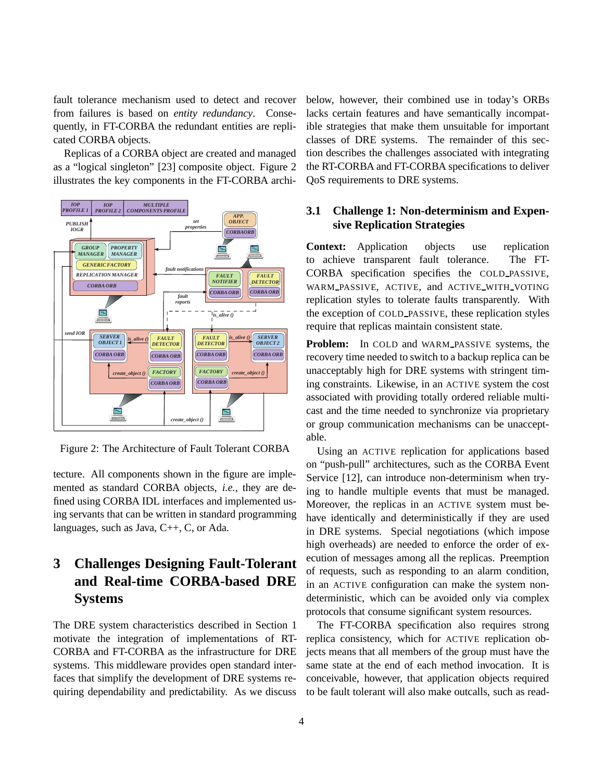fault tolerance mechanism used to detect and recover from failures is based on *entity redundancy*. Consequently, in FT-CORBA the redundant entities are replicated CORBA objects.

Replicas of a CORBA object are created and managed as a "logical singleton" [23] composite object. Figure 2 illustrates the key components in the FT-CORBA archi-



Figure 2: The Architecture of Fault Tolerant CORBA

tecture. All components shown in the figure are implemented as standard CORBA objects, *i.e.*, they are defined using CORBA IDL interfaces and implemented using servants that can be written in standard programming languages, such as Java, C++, C, or Ada.

# **3 Challenges Designing Fault-Tolerant and Real-time CORBA-based DRE Systems**

The DRE system characteristics described in Section 1 motivate the integration of implementations of RT-CORBA and FT-CORBA as the infrastructure for DRE systems. This middleware provides open standard interfaces that simplify the development of DRE systems requiring dependability and predictability. As we discuss below, however, their combined use in today's ORBs lacks certain features and have semantically incompatible strategies that make them unsuitable for important classes of DRE systems. The remainder of this section describes the challenges associated with integrating the RT-CORBA and FT-CORBA specifications to deliver QoS requirements to DRE systems.

### **3.1 Challenge 1: Non-determinism and Expensive Replication Strategies**

**Context:** Application objects use replication to achieve transparent fault tolerance. The FT-CORBA specification specifies the COLD PASSIVE, WARM PASSIVE, ACTIVE, and ACTIVE WITH VOTING replication styles to tolerate faults transparently. With the exception of COLD PASSIVE, these replication styles require that replicas maintain consistent state.

**Problem:** In COLD and WARM PASSIVE systems, the recovery time needed to switch to a backup replica can be unacceptably high for DRE systems with stringent timing constraints. Likewise, in an ACTIVE system the cost associated with providing totally ordered reliable multicast and the time needed to synchronize via proprietary or group communication mechanisms can be unacceptable.

Using an ACTIVE replication for applications based on "push-pull" architectures, such as the CORBA Event Service [12], can introduce non-determinism when trying to handle multiple events that must be managed. Moreover, the replicas in an ACTIVE system must behave identically and deterministically if they are used in DRE systems. Special negotiations (which impose high overheads) are needed to enforce the order of execution of messages among all the replicas. Preemption of requests, such as responding to an alarm condition, in an ACTIVE configuration can make the system nondeterministic, which can be avoided only via complex protocols that consume significant system resources.

The FT-CORBA specification also requires strong replica consistency, which for ACTIVE replication objects means that all members of the group must have the same state at the end of each method invocation. It is conceivable, however, that application objects required to be fault tolerant will also make outcalls, such as read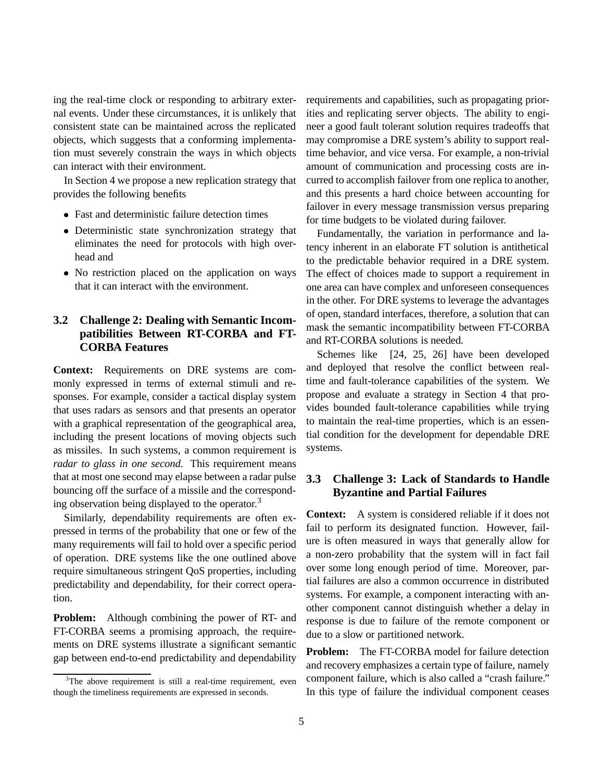ing the real-time clock or responding to arbitrary external events. Under these circumstances, it is unlikely that consistent state can be maintained across the replicated objects, which suggests that a conforming implementation must severely constrain the ways in which objects can interact with their environment.

In Section 4 we propose a new replication strategy that provides the following benefits

- Fast and deterministic failure detection times
- Deterministic state synchronization strategy that eliminates the need for protocols with high overhead and
- No restriction placed on the application on ways that it can interact with the environment.

## **3.2 Challenge 2: Dealing with Semantic Incompatibilities Between RT-CORBA and FT-CORBA Features**

**Context:** Requirements on DRE systems are commonly expressed in terms of external stimuli and responses. For example, consider a tactical display system that uses radars as sensors and that presents an operator with a graphical representation of the geographical area, including the present locations of moving objects such as missiles. In such systems, a common requirement is *radar to glass in one second*. This requirement means that at most one second may elapse between a radar pulse bouncing off the surface of a missile and the corresponding observation being displayed to the operator.<sup>3</sup>

Similarly, dependability requirements are often expressed in terms of the probability that one or few of the many requirements will fail to hold over a specific period of operation. DRE systems like the one outlined above require simultaneous stringent QoS properties, including predictability and dependability, for their correct operation.

**Problem:** Although combining the power of RT- and FT-CORBA seems a promising approach, the requirements on DRE systems illustrate a significant semantic gap between end-to-end predictability and dependability

requirements and capabilities, such as propagating priorities and replicating server objects. The ability to engineer a good fault tolerant solution requires tradeoffs that may compromise a DRE system's ability to support realtime behavior, and vice versa. For example, a non-trivial amount of communication and processing costs are incurred to accomplish failover from one replica to another, and this presents a hard choice between accounting for failover in every message transmission versus preparing for time budgets to be violated during failover.

Fundamentally, the variation in performance and latency inherent in an elaborate FT solution is antithetical to the predictable behavior required in a DRE system. The effect of choices made to support a requirement in one area can have complex and unforeseen consequences in the other. For DRE systems to leverage the advantages of open, standard interfaces, therefore, a solution that can mask the semantic incompatibility between FT-CORBA and RT-CORBA solutions is needed.

Schemes like [24, 25, 26] have been developed and deployed that resolve the conflict between realtime and fault-tolerance capabilities of the system. We propose and evaluate a strategy in Section 4 that provides bounded fault-tolerance capabilities while trying to maintain the real-time properties, which is an essential condition for the development for dependable DRE systems.

### **3.3 Challenge 3: Lack of Standards to Handle Byzantine and Partial Failures**

**Context:** A system is considered reliable if it does not fail to perform its designated function. However, failure is often measured in ways that generally allow for a non-zero probability that the system will in fact fail over some long enough period of time. Moreover, partial failures are also a common occurrence in distributed systems. For example, a component interacting with another component cannot distinguish whether a delay in response is due to failure of the remote component or due to a slow or partitioned network.

**Problem:** The FT-CORBA model for failure detection and recovery emphasizes a certain type of failure, namely component failure, which is also called a "crash failure." In this type of failure the individual component ceases

<sup>&</sup>lt;sup>3</sup>The above requirement is still a real-time requirement, even though the timeliness requirements are expressed in seconds.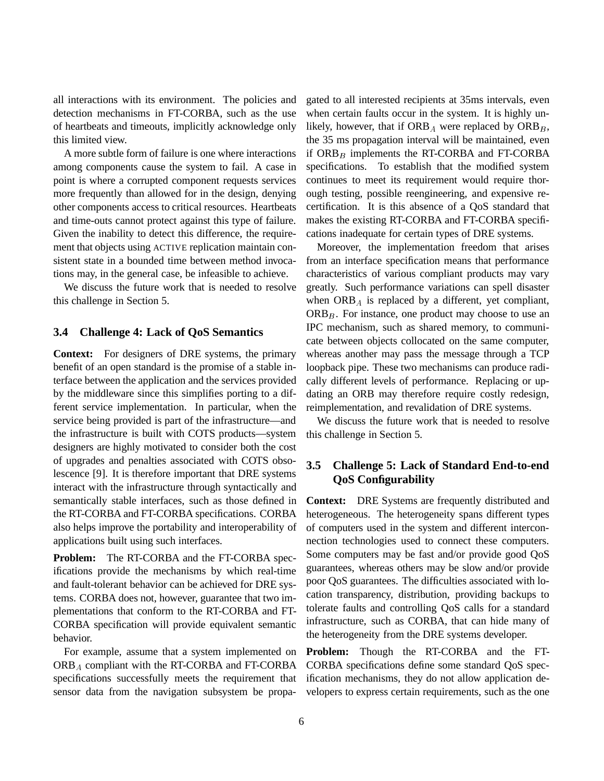all interactions with its environment. The policies and detection mechanisms in FT-CORBA, such as the use of heartbeats and timeouts, implicitly acknowledge only this limited view.

A more subtle form of failure is one where interactions among components cause the system to fail. A case in point is where a corrupted component requests services more frequently than allowed for in the design, denying other components access to critical resources. Heartbeats and time-outs cannot protect against this type of failure. Given the inability to detect this difference, the requirement that objects using ACTIVE replication maintain consistent state in a bounded time between method invocations may, in the general case, be infeasible to achieve.

We discuss the future work that is needed to resolve this challenge in Section 5.

#### **3.4 Challenge 4: Lack of QoS Semantics**

**Context:** For designers of DRE systems, the primary benefit of an open standard is the promise of a stable interface between the application and the services provided by the middleware since this simplifies porting to a different service implementation. In particular, when the service being provided is part of the infrastructure—and the infrastructure is built with COTS products—system designers are highly motivated to consider both the cost of upgrades and penalties associated with COTS obsolescence [9]. It is therefore important that DRE systems interact with the infrastructure through syntactically and semantically stable interfaces, such as those defined in the RT-CORBA and FT-CORBA specifications. CORBA also helps improve the portability and interoperability of applications built using such interfaces.

**Problem:** The RT-CORBA and the FT-CORBA specifications provide the mechanisms by which real-time and fault-tolerant behavior can be achieved for DRE systems. CORBA does not, however, guarantee that two implementations that conform to the RT-CORBA and FT-CORBA specification will provide equivalent semantic behavior.

For example, assume that a system implemented on  $ORB<sub>A</sub>$  compliant with the RT-CORBA and FT-CORBA specifications successfully meets the requirement that sensor data from the navigation subsystem be propagated to all interested recipients at 35ms intervals, even when certain faults occur in the system. It is highly unlikely, however, that if  $ORB<sub>A</sub>$  were replaced by  $ORB<sub>B</sub>$ , the 35 ms propagation interval will be maintained, even if  $ORB<sub>B</sub>$  implements the RT-CORBA and FT-CORBA specifications. To establish that the modified system continues to meet its requirement would require thorough testing, possible reengineering, and expensive recertification. It is this absence of a QoS standard that makes the existing RT-CORBA and FT-CORBA specifications inadequate for certain types of DRE systems.

Moreover, the implementation freedom that arises from an interface specification means that performance characteristics of various compliant products may vary greatly. Such performance variations can spell disaster when  $ORB<sub>A</sub>$  is replaced by a different, yet compliant,  $ORB<sub>B</sub>$ . For instance, one product may choose to use an IPC mechanism, such as shared memory, to communicate between objects collocated on the same computer, whereas another may pass the message through a TCP loopback pipe. These two mechanisms can produce radically different levels of performance. Replacing or updating an ORB may therefore require costly redesign, reimplementation, and revalidation of DRE systems.

We discuss the future work that is needed to resolve this challenge in Section 5.

### **3.5 Challenge 5: Lack of Standard End-to-end QoS Configurability**

**Context:** DRE Systems are frequently distributed and heterogeneous. The heterogeneity spans different types of computers used in the system and different interconnection technologies used to connect these computers. Some computers may be fast and/or provide good QoS guarantees, whereas others may be slow and/or provide poor QoS guarantees. The difficulties associated with location transparency, distribution, providing backups to tolerate faults and controlling QoS calls for a standard infrastructure, such as CORBA, that can hide many of the heterogeneity from the DRE systems developer.

**Problem:** Though the RT-CORBA and the FT-CORBA specifications define some standard QoS specification mechanisms, they do not allow application developers to express certain requirements, such as the one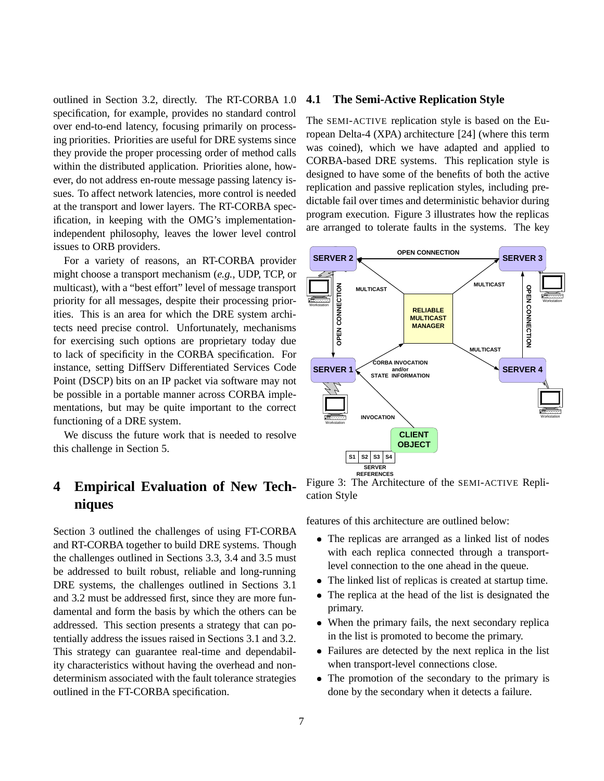outlined in Section 3.2, directly. The RT-CORBA 1.0 specification, for example, provides no standard control over end-to-end latency, focusing primarily on processing priorities. Priorities are useful for DRE systems since they provide the proper processing order of method calls within the distributed application. Priorities alone, however, do not address en-route message passing latency issues. To affect network latencies, more control is needed at the transport and lower layers. The RT-CORBA specification, in keeping with the OMG's implementationindependent philosophy, leaves the lower level control issues to ORB providers.

For a variety of reasons, an RT-CORBA provider might choose a transport mechanism (*e.g.*, UDP, TCP, or multicast), with a "best effort" level of message transport priority for all messages, despite their processing priorities. This is an area for which the DRE system architects need precise control. Unfortunately, mechanisms for exercising such options are proprietary today due to lack of specificity in the CORBA specification. For instance, setting DiffServ Differentiated Services Code Point (DSCP) bits on an IP packet via software may not be possible in a portable manner across CORBA implementations, but may be quite important to the correct functioning of a DRE system.

We discuss the future work that is needed to resolve this challenge in Section 5.

## **4 Empirical Evaluation of New Techniques**

Section 3 outlined the challenges of using FT-CORBA and RT-CORBA together to build DRE systems. Though the challenges outlined in Sections 3.3, 3.4 and 3.5 must be addressed to built robust, reliable and long-running DRE systems, the challenges outlined in Sections 3.1 and 3.2 must be addressed first, since they are more fundamental and form the basis by which the others can be addressed. This section presents a strategy that can potentially address the issues raised in Sections 3.1 and 3.2. This strategy can guarantee real-time and dependability characteristics without having the overhead and nondeterminism associated with the fault tolerance strategies outlined in the FT-CORBA specification.

### **4.1 The Semi-Active Replication Style**

The SEMI-ACTIVE replication style is based on the European Delta-4 (XPA) architecture [24] (where this term was coined), which we have adapted and applied to CORBA-based DRE systems. This replication style is designed to have some of the benefits of both the active replication and passive replication styles, including predictable fail over times and deterministic behavior during program execution. Figure 3 illustrates how the replicas are arranged to tolerate faults in the systems. The key

![](_page_6_Figure_7.jpeg)

Figure 3: The Architecture of the SEMI-ACTIVE Replication Style

features of this architecture are outlined below:

- The replicas are arranged as a linked list of nodes with each replica connected through a transportlevel connection to the one ahead in the queue.
- The linked list of replicas is created at startup time.
- The replica at the head of the list is designated the primary.
- When the primary fails, the next secondary replica in the list is promoted to become the primary.
- Failures are detected by the next replica in the list when transport-level connections close.
- The promotion of the secondary to the primary is done by the secondary when it detects a failure.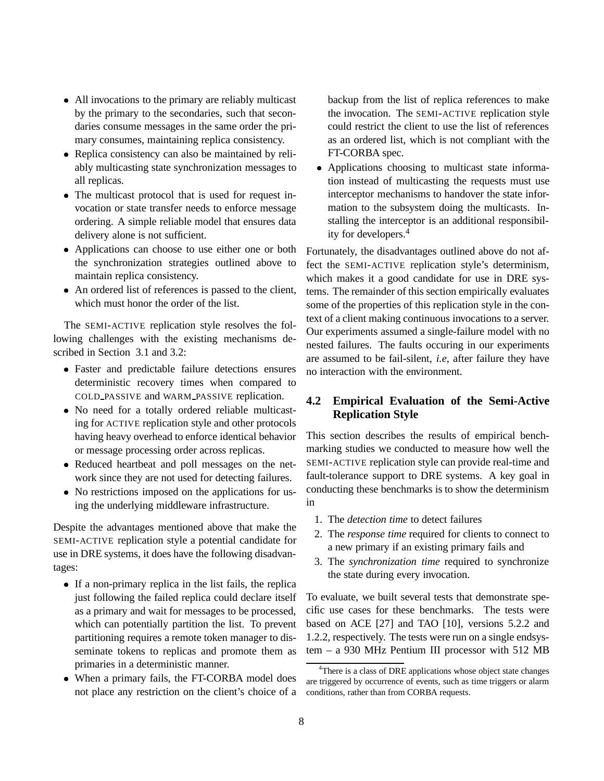- All invocations to the primary are reliably multicast by the primary to the secondaries, such that secondaries consume messages in the same order the primary consumes, maintaining replica consistency.
- Replica consistency can also be maintained by reliably multicasting state synchronization messages to all replicas.
- The multicast protocol that is used for request invocation or state transfer needs to enforce message ordering. A simple reliable model that ensures data delivery alone is not sufficient.
- Applications can choose to use either one or both the synchronization strategies outlined above to maintain replica consistency.
- An ordered list of references is passed to the client, which must honor the order of the list.

The SEMI-ACTIVE replication style resolves the following challenges with the existing mechanisms described in Section 3.1 and 3.2:

- Faster and predictable failure detections ensures deterministic recovery times when compared to COLD PASSIVE and WARM PASSIVE replication.
- No need for a totally ordered reliable multicasting for ACTIVE replication style and other protocols having heavy overhead to enforce identical behavior or message processing order across replicas.
- Reduced heartbeat and poll messages on the network since they are not used for detecting failures.
- No restrictions imposed on the applications for using the underlying middleware infrastructure.

Despite the advantages mentioned above that make the SEMI-ACTIVE replication style a potential candidate for use in DRE systems, it does have the following disadvantages:

- If a non-primary replica in the list fails, the replica just following the failed replica could declare itself as a primary and wait for messages to be processed, which can potentially partition the list. To prevent partitioning requires a remote token manager to disseminate tokens to replicas and promote them as primaries in a deterministic manner.
- When a primary fails, the FT-CORBA model does not place any restriction on the client's choice of a

backup from the list of replica references to make the invocation. The SEMI-ACTIVE replication style could restrict the client to use the list of references as an ordered list, which is not compliant with the FT-CORBA spec.

 Applications choosing to multicast state information instead of multicasting the requests must use interceptor mechanisms to handover the state information to the subsystem doing the multicasts. Installing the interceptor is an additional responsibility for developers.4

Fortunately, the disadvantages outlined above do not affect the SEMI-ACTIVE replication style's determinism, which makes it a good candidate for use in DRE systems. The remainder of this section empirically evaluates some of the properties of this replication style in the context of a client making continuous invocations to a server. Our experiments assumed a single-failure model with no nested failures. The faults occuring in our experiments are assumed to be fail-silent, *i.e*, after failure they have no interaction with the environment.

## **4.2 Empirical Evaluation of the Semi-Active Replication Style**

This section describes the results of empirical benchmarking studies we conducted to measure how well the SEMI-ACTIVE replication style can provide real-time and fault-tolerance support to DRE systems. A key goal in conducting these benchmarks is to show the determinism in

- 1. The *detection time* to detect failures
- 2. The *response time* required for clients to connect to a new primary if an existing primary fails and
- 3. The *synchronization time* required to synchronize the state during every invocation.

To evaluate, we built several tests that demonstrate specific use cases for these benchmarks. The tests were based on ACE [27] and TAO [10], versions 5.2.2 and 1.2.2, respectively. The tests were run on a single endsystem – a 930 MHz Pentium III processor with 512 MB

<sup>&</sup>lt;sup>4</sup>There is a class of DRE applications whose object state changes are triggered by occurrence of events, such as time triggers or alarm conditions, rather than from CORBA requests.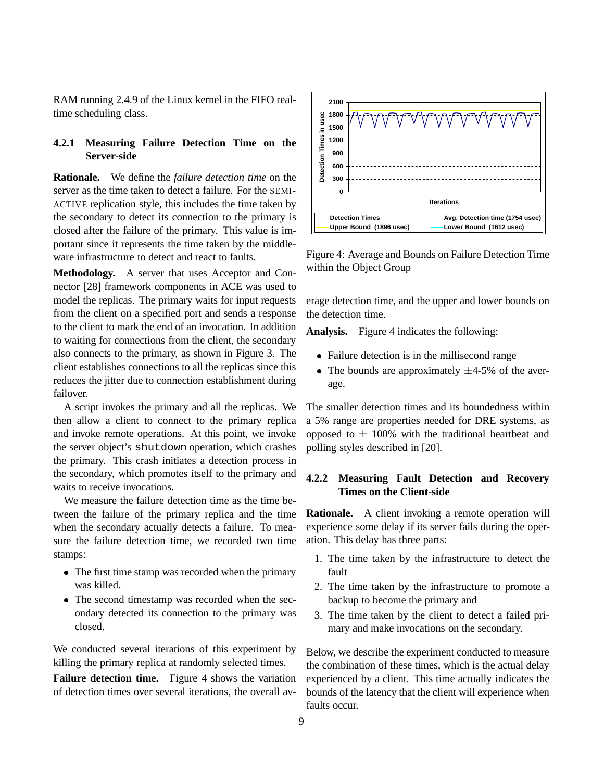RAM running 2.4.9 of the Linux kernel in the FIFO realtime scheduling class.

### **4.2.1 Measuring Failure Detection Time on the Server-side**

**Rationale.** We define the *failure detection time* on the server as the time taken to detect a failure. For the SEMI-ACTIVE replication style, this includes the time taken by the secondary to detect its connection to the primary is closed after the failure of the primary. This value is important since it represents the time taken by the middleware infrastructure to detect and react to faults.

**Methodology.** A server that uses Acceptor and Connector [28] framework components in ACE was used to model the replicas. The primary waits for input requests from the client on a specified port and sends a response to the client to mark the end of an invocation. In addition to waiting for connections from the client, the secondary also connects to the primary, as shown in Figure 3. The client establishes connections to all the replicas since this reduces the jitter due to connection establishment during failover.

A script invokes the primary and all the replicas. We then allow a client to connect to the primary replica and invoke remote operations. At this point, we invoke the server object's shutdown operation, which crashes the primary. This crash initiates a detection process in the secondary, which promotes itself to the primary and waits to receive invocations.

We measure the failure detection time as the time between the failure of the primary replica and the time when the secondary actually detects a failure. To measure the failure detection time, we recorded two time stamps:

- The first time stamp was recorded when the primary was killed.
- The second timestamp was recorded when the secondary detected its connection to the primary was closed.

We conducted several iterations of this experiment by killing the primary replica at randomly selected times.

**Failure detection time.** Figure 4 shows the variation of detection times over several iterations, the overall av-

![](_page_8_Figure_10.jpeg)

Figure 4: Average and Bounds on Failure Detection Time within the Object Group

erage detection time, and the upper and lower bounds on the detection time.

**Analysis.** Figure 4 indicates the following:

- Failure detection is in the millisecond range
- The bounds are approximately  $\pm$ 4-5% of the average.

The smaller detection times and its boundedness within a 5% range are properties needed for DRE systems, as opposed to  $\pm$  100% with the traditional heartbeat and polling styles described in [20].

### **4.2.2 Measuring Fault Detection and Recovery Times on the Client-side**

**Rationale.** A client invoking a remote operation will experience some delay if its server fails during the operation. This delay has three parts:

- 1. The time taken by the infrastructure to detect the fault
- 2. The time taken by the infrastructure to promote a backup to become the primary and
- 3. The time taken by the client to detect a failed primary and make invocations on the secondary.

Below, we describe the experiment conducted to measure the combination of these times, which is the actual delay experienced by a client. This time actually indicates the bounds of the latency that the client will experience when faults occur.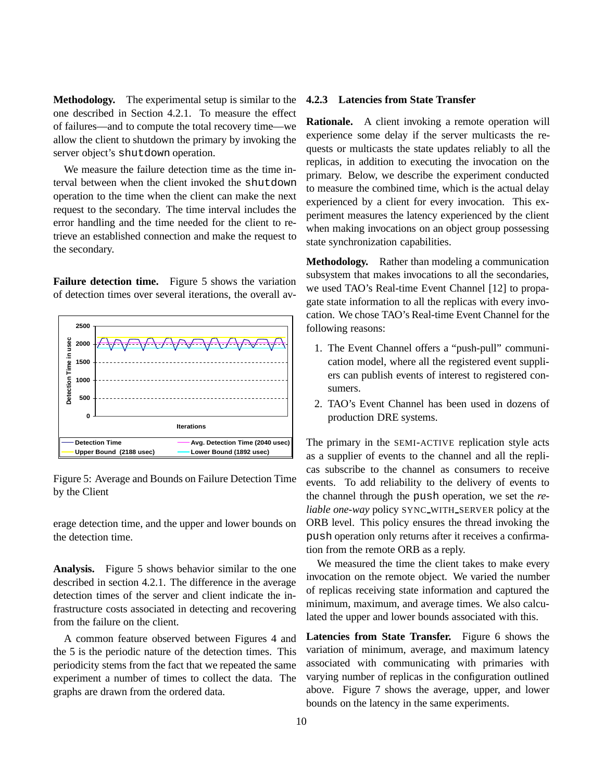**Methodology.** The experimental setup is similar to the one described in Section 4.2.1. To measure the effect of failures—and to compute the total recovery time—we allow the client to shutdown the primary by invoking the server object's shutdown operation.

We measure the failure detection time as the time interval between when the client invoked the shutdown operation to the time when the client can make the next request to the secondary. The time interval includes the error handling and the time needed for the client to retrieve an established connection and make the request to the secondary.

**Failure detection time.** Figure 5 shows the variation of detection times over several iterations, the overall av-

![](_page_9_Figure_3.jpeg)

Figure 5: Average and Bounds on Failure Detection Time by the Client

erage detection time, and the upper and lower bounds on the detection time.

**Analysis.** Figure 5 shows behavior similar to the one described in section 4.2.1. The difference in the average detection times of the server and client indicate the infrastructure costs associated in detecting and recovering from the failure on the client.

A common feature observed between Figures 4 and the 5 is the periodic nature of the detection times. This periodicity stems from the fact that we repeated the same experiment a number of times to collect the data. The graphs are drawn from the ordered data.

#### **4.2.3 Latencies from State Transfer**

**Rationale.** A client invoking a remote operation will experience some delay if the server multicasts the requests or multicasts the state updates reliably to all the replicas, in addition to executing the invocation on the primary. Below, we describe the experiment conducted to measure the combined time, which is the actual delay experienced by a client for every invocation. This experiment measures the latency experienced by the client when making invocations on an object group possessing state synchronization capabilities.

**Methodology.** Rather than modeling a communication subsystem that makes invocations to all the secondaries, we used TAO's Real-time Event Channel [12] to propagate state information to all the replicas with every invocation. We chose TAO's Real-time Event Channel for the following reasons:

- 1. The Event Channel offers a "push-pull" communication model, where all the registered event suppliers can publish events of interest to registered consumers.
- 2. TAO's Event Channel has been used in dozens of production DRE systems.

The primary in the SEMI-ACTIVE replication style acts as a supplier of events to the channel and all the replicas subscribe to the channel as consumers to receive events. To add reliability to the delivery of events to the channel through the push operation, we set the *reliable one-way* policy SYNC WITH SERVER policy at the ORB level. This policy ensures the thread invoking the push operation only returns after it receives a confirmation from the remote ORB as a reply.

We measured the time the client takes to make every invocation on the remote object. We varied the number of replicas receiving state information and captured the minimum, maximum, and average times. We also calculated the upper and lower bounds associated with this.

**Latencies from State Transfer.** Figure 6 shows the variation of minimum, average, and maximum latency associated with communicating with primaries with varying number of replicas in the configuration outlined above. Figure 7 shows the average, upper, and lower bounds on the latency in the same experiments.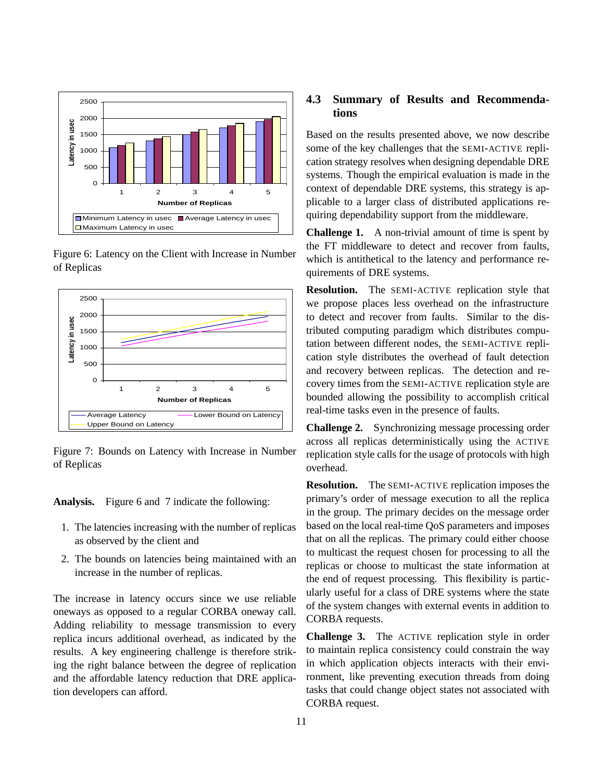![](_page_10_Figure_0.jpeg)

Figure 6: Latency on the Client with Increase in Number of Replicas

![](_page_10_Figure_2.jpeg)

Figure 7: Bounds on Latency with Increase in Number of Replicas

**Analysis.** Figure 6 and 7 indicate the following:

- 1. The latencies increasing with the number of replicas as observed by the client and
- 2. The bounds on latencies being maintained with an increase in the number of replicas.

The increase in latency occurs since we use reliable oneways as opposed to a regular CORBA oneway call. Adding reliability to message transmission to every replica incurs additional overhead, as indicated by the results. A key engineering challenge is therefore striking the right balance between the degree of replication and the affordable latency reduction that DRE application developers can afford.

### **4.3 Summary of Results and Recommendations**

Based on the results presented above, we now describe some of the key challenges that the SEMI-ACTIVE replication strategy resolves when designing dependable DRE systems. Though the empirical evaluation is made in the context of dependable DRE systems, this strategy is applicable to a larger class of distributed applications requiring dependability support from the middleware.

**Challenge 1.** A non-trivial amount of time is spent by the FT middleware to detect and recover from faults, which is antithetical to the latency and performance requirements of DRE systems.

**Resolution.** The SEMI-ACTIVE replication style that we propose places less overhead on the infrastructure to detect and recover from faults. Similar to the distributed computing paradigm which distributes computation between different nodes, the SEMI-ACTIVE replication style distributes the overhead of fault detection and recovery between replicas. The detection and recovery times from the SEMI-ACTIVE replication style are bounded allowing the possibility to accomplish critical real-time tasks even in the presence of faults.

**Challenge 2.** Synchronizing message processing order across all replicas deterministically using the ACTIVE replication style calls for the usage of protocols with high overhead.

**Resolution.** The SEMI-ACTIVE replication imposes the primary's order of message execution to all the replica in the group. The primary decides on the message order based on the local real-time QoS parameters and imposes that on all the replicas. The primary could either choose to multicast the request chosen for processing to all the replicas or choose to multicast the state information at the end of request processing. This flexibility is particularly useful for a class of DRE systems where the state of the system changes with external events in addition to CORBA requests.

**Challenge 3.** The ACTIVE replication style in order to maintain replica consistency could constrain the way in which application objects interacts with their environment, like preventing execution threads from doing tasks that could change object states not associated with CORBA request.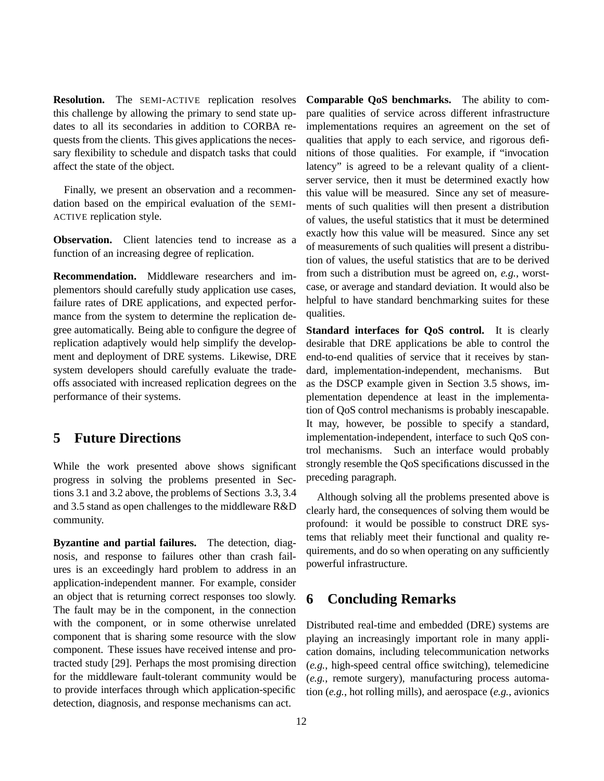**Resolution.** The SEMI-ACTIVE replication resolves this challenge by allowing the primary to send state updates to all its secondaries in addition to CORBA requests from the clients. This gives applications the necessary flexibility to schedule and dispatch tasks that could affect the state of the object.

Finally, we present an observation and a recommendation based on the empirical evaluation of the SEMI-ACTIVE replication style.

**Observation.** Client latencies tend to increase as a function of an increasing degree of replication.

**Recommendation.** Middleware researchers and implementors should carefully study application use cases, failure rates of DRE applications, and expected performance from the system to determine the replication degree automatically. Being able to configure the degree of replication adaptively would help simplify the development and deployment of DRE systems. Likewise, DRE system developers should carefully evaluate the tradeoffs associated with increased replication degrees on the performance of their systems.

## **5 Future Directions**

While the work presented above shows significant progress in solving the problems presented in Sections 3.1 and 3.2 above, the problems of Sections 3.3, 3.4 and 3.5 stand as open challenges to the middleware R&D community.

**Byzantine and partial failures.** The detection, diagnosis, and response to failures other than crash failures is an exceedingly hard problem to address in an application-independent manner. For example, consider an object that is returning correct responses too slowly. The fault may be in the component, in the connection with the component, or in some otherwise unrelated component that is sharing some resource with the slow component. These issues have received intense and protracted study [29]. Perhaps the most promising direction for the middleware fault-tolerant community would be to provide interfaces through which application-specific detection, diagnosis, and response mechanisms can act.

**Comparable QoS benchmarks.** The ability to compare qualities of service across different infrastructure implementations requires an agreement on the set of qualities that apply to each service, and rigorous definitions of those qualities. For example, if "invocation latency" is agreed to be a relevant quality of a clientserver service, then it must be determined exactly how this value will be measured. Since any set of measurements of such qualities will then present a distribution of values, the useful statistics that it must be determined exactly how this value will be measured. Since any set of measurements of such qualities will present a distribution of values, the useful statistics that are to be derived from such a distribution must be agreed on, *e.g.*, worstcase, or average and standard deviation. It would also be helpful to have standard benchmarking suites for these qualities.

**Standard interfaces for QoS control.** It is clearly desirable that DRE applications be able to control the end-to-end qualities of service that it receives by standard, implementation-independent, mechanisms. But as the DSCP example given in Section 3.5 shows, implementation dependence at least in the implementation of QoS control mechanisms is probably inescapable. It may, however, be possible to specify a standard, implementation-independent, interface to such QoS control mechanisms. Such an interface would probably strongly resemble the QoS specifications discussed in the preceding paragraph.

Although solving all the problems presented above is clearly hard, the consequences of solving them would be profound: it would be possible to construct DRE systems that reliably meet their functional and quality requirements, and do so when operating on any sufficiently powerful infrastructure.

## **6 Concluding Remarks**

Distributed real-time and embedded (DRE) systems are playing an increasingly important role in many application domains, including telecommunication networks (*e.g.*, high-speed central office switching), telemedicine (*e.g.*, remote surgery), manufacturing process automation (*e.g.*, hot rolling mills), and aerospace (*e.g.*, avionics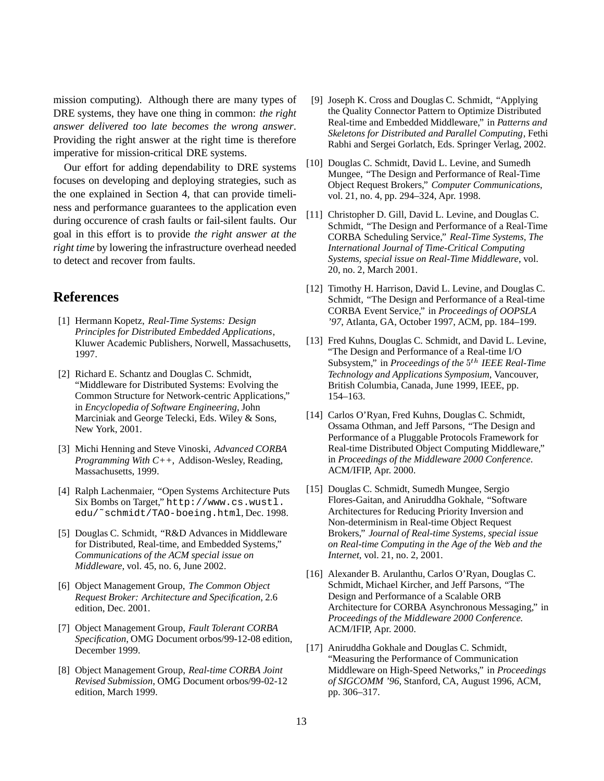mission computing). Although there are many types of DRE systems, they have one thing in common: *the right answer delivered too late becomes the wrong answer*. Providing the right answer at the right time is therefore imperative for mission-critical DRE systems.

Our effort for adding dependability to DRE systems focuses on developing and deploying strategies, such as the one explained in Section 4, that can provide timeliness and performance guarantees to the application even during occurence of crash faults or fail-silent faults. Our goal in this effort is to provide *the right answer at the right time* by lowering the infrastructure overhead needed to detect and recover from faults.

## **References**

- [1] Hermann Kopetz, *Real-Time Systems: Design Principles for Distributed Embedded Applications*, Kluwer Academic Publishers, Norwell, Massachusetts, 1997.
- [2] Richard E. Schantz and Douglas C. Schmidt, "Middleware for Distributed Systems: Evolving the Common Structure for Network-centric Applications," in *Encyclopedia of Software Engineering*, John Marciniak and George Telecki, Eds. Wiley & Sons, New York, 2001.
- [3] Michi Henning and Steve Vinoski, *Advanced CORBA Programming With C++*, Addison-Wesley, Reading, Massachusetts, 1999.
- [4] Ralph Lachenmaier, "Open Systems Architecture Puts Six Bombs on Target," http://www.cs.wustl. edu/˜schmidt/TAO-boeing.html, Dec. 1998.
- [5] Douglas C. Schmidt, "R&D Advances in Middleware for Distributed, Real-time, and Embedded Systems," *Communications of the ACM special issue on Middleware*, vol. 45, no. 6, June 2002.
- [6] Object Management Group, *The Common Object Request Broker: Architecture and Specification*, 2.6 edition, Dec. 2001.
- [7] Object Management Group, *Fault Tolerant CORBA Specification*, OMG Document orbos/99-12-08 edition, December 1999.
- [8] Object Management Group, *Real-time CORBA Joint Revised Submission*, OMG Document orbos/99-02-12 edition, March 1999.
- [9] Joseph K. Cross and Douglas C. Schmidt, "Applying the Quality Connector Pattern to Optimize Distributed Real-time and Embedded Middleware," in *Patterns and Skeletons for Distributed and Parallel Computing*, Fethi Rabhi and Sergei Gorlatch, Eds. Springer Verlag, 2002.
- [10] Douglas C. Schmidt, David L. Levine, and Sumedh Mungee, "The Design and Performance of Real-Time Object Request Brokers," *Computer Communications*, vol. 21, no. 4, pp. 294–324, Apr. 1998.
- [11] Christopher D. Gill, David L. Levine, and Douglas C. Schmidt, "The Design and Performance of a Real-Time CORBA Scheduling Service," *Real-Time Systems, The International Journal of Time-Critical Computing Systems, special issue on Real-Time Middleware*, vol. 20, no. 2, March 2001.
- [12] Timothy H. Harrison, David L. Levine, and Douglas C. Schmidt, "The Design and Performance of a Real-time CORBA Event Service," in *Proceedings of OOPSLA '97*, Atlanta, GA, October 1997, ACM, pp. 184–199.
- [13] Fred Kuhns, Douglas C. Schmidt, and David L. Levine, "The Design and Performance of a Real-time I/O Subsystem," in *Proceedings of the*  $5<sup>th</sup>$  *IEEE Real-Time Technology and Applications Symposium*, Vancouver, British Columbia, Canada, June 1999, IEEE, pp. 154–163.
- [14] Carlos O'Ryan, Fred Kuhns, Douglas C. Schmidt, Ossama Othman, and Jeff Parsons, "The Design and Performance of a Pluggable Protocols Framework for Real-time Distributed Object Computing Middleware," in *Proceedings of the Middleware 2000 Conference*. ACM/IFIP, Apr. 2000.
- [15] Douglas C. Schmidt, Sumedh Mungee, Sergio Flores-Gaitan, and Aniruddha Gokhale, "Software Architectures for Reducing Priority Inversion and Non-determinism in Real-time Object Request Brokers," *Journal of Real-time Systems, special issue on Real-time Computing in the Age of the Web and the Internet*, vol. 21, no. 2, 2001.
- [16] Alexander B. Arulanthu, Carlos O'Ryan, Douglas C. Schmidt, Michael Kircher, and Jeff Parsons, "The Design and Performance of a Scalable ORB Architecture for CORBA Asynchronous Messaging," in *Proceedings of the Middleware 2000 Conference*. ACM/IFIP, Apr. 2000.
- [17] Aniruddha Gokhale and Douglas C. Schmidt, "Measuring the Performance of Communication Middleware on High-Speed Networks," in *Proceedings of SIGCOMM '96*, Stanford, CA, August 1996, ACM, pp. 306–317.